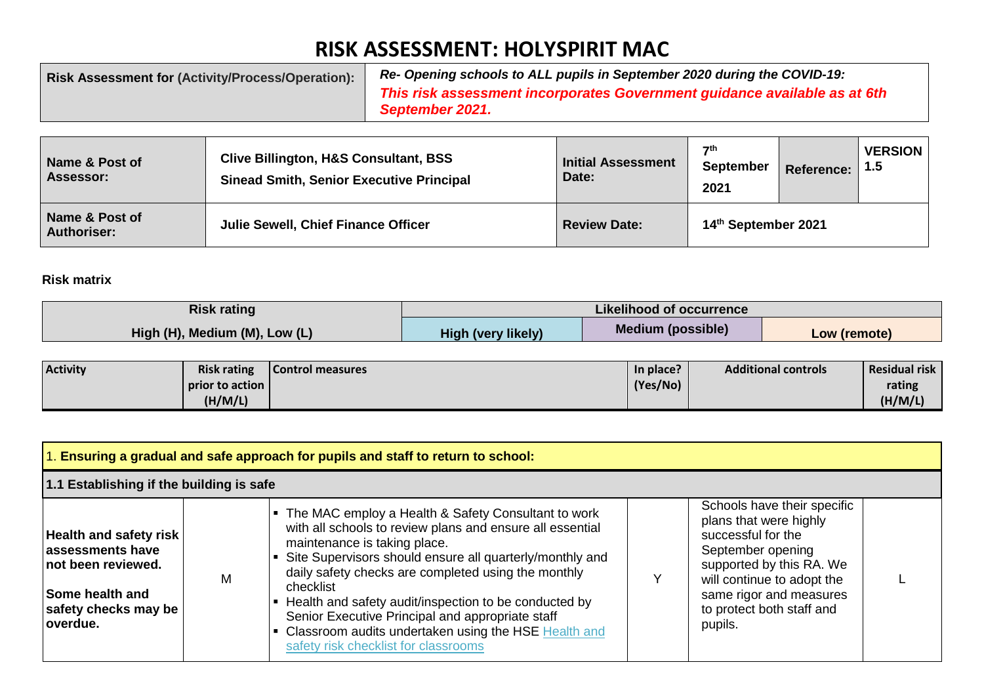## **RISK ASSESSMENT: HOLYSPIRIT MAC**

| <b>Risk Assessment for (Activity/Process/Operation):</b> | Re- Opening schools to ALL pupils in September 2020 during the COVID-19:                     |
|----------------------------------------------------------|----------------------------------------------------------------------------------------------|
|                                                          | This risk assessment incorporates Government guidance available as at 6th<br>September 2021. |
|                                                          |                                                                                              |

| Name & Post of<br><b>Assessor:</b>   | <b>Clive Billington, H&amp;S Consultant, BSS</b><br><b>Sinead Smith, Senior Executive Principal</b> | Initial Assessment<br>Date: | $\mathbf{7}$ th<br>September<br>2021 | <b>Reference:</b> | <b>VERSION</b><br>l 1.5 |
|--------------------------------------|-----------------------------------------------------------------------------------------------------|-----------------------------|--------------------------------------|-------------------|-------------------------|
| Name & Post of<br><b>Authoriser:</b> | Julie Sewell, Chief Finance Officer                                                                 | <b>Review Date:</b>         | 14th September 2021                  |                   |                         |

## **Risk matrix**

| <b>Risk rating</b>            | <b>Likelihood of occurrence</b> |                          |              |  |  |  |
|-------------------------------|---------------------------------|--------------------------|--------------|--|--|--|
| High (H), Medium (M), Low (L) | <b>High (very likely)</b>       | <b>Medium (possible)</b> | Low (remote) |  |  |  |

| <b>Activity</b> | <b>Risk rating</b> | Control measures | In place? | <b>Additional controls</b> | Residual risk |
|-----------------|--------------------|------------------|-----------|----------------------------|---------------|
|                 | prior to action I  |                  | (Yes/No)  |                            | rating        |
|                 | (H/M/L)            |                  |           |                            | (H/M/L)       |

| $\vert$ 1. Ensuring a gradual and safe approach for pupils and staff to return to school:                                              |   |                                                                                                                                                                                                                                                                                                                                                                                                                                                                                                 |  |                                                                                                                                                                                                                               |  |
|----------------------------------------------------------------------------------------------------------------------------------------|---|-------------------------------------------------------------------------------------------------------------------------------------------------------------------------------------------------------------------------------------------------------------------------------------------------------------------------------------------------------------------------------------------------------------------------------------------------------------------------------------------------|--|-------------------------------------------------------------------------------------------------------------------------------------------------------------------------------------------------------------------------------|--|
| 1.1 Establishing if the building is safe                                                                                               |   |                                                                                                                                                                                                                                                                                                                                                                                                                                                                                                 |  |                                                                                                                                                                                                                               |  |
| Health and safety risk<br>assessments have<br><b>Inot been reviewed.</b><br><b>Some health and</b><br>safety checks may be<br>overdue. | M | • The MAC employ a Health & Safety Consultant to work<br>with all schools to review plans and ensure all essential<br>maintenance is taking place.<br>Site Supervisors should ensure all quarterly/monthly and<br>daily safety checks are completed using the monthly<br>checklist<br>Health and safety audit/inspection to be conducted by<br>Senior Executive Principal and appropriate staff<br>Classroom audits undertaken using the HSE Health and<br>safety risk checklist for classrooms |  | Schools have their specific<br>plans that were highly<br>successful for the<br>September opening<br>supported by this RA. We<br>will continue to adopt the<br>same rigor and measures<br>to protect both staff and<br>pupils. |  |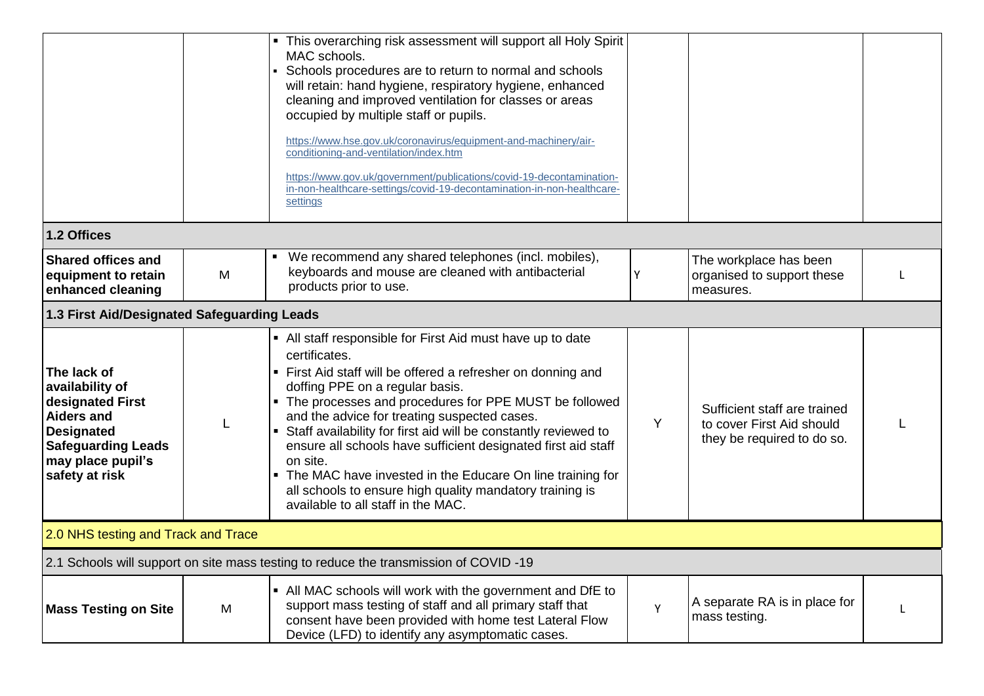|                                                                                                                                                           |   | • This overarching risk assessment will support all Holy Spirit<br>MAC schools.<br>Schools procedures are to return to normal and schools<br>$\blacksquare$<br>will retain: hand hygiene, respiratory hygiene, enhanced<br>cleaning and improved ventilation for classes or areas<br>occupied by multiple staff or pupils.<br>https://www.hse.gov.uk/coronavirus/equipment-and-machinery/air-<br>conditioning-and-ventilation/index.htm<br>https://www.gov.uk/government/publications/covid-19-decontamination-<br>in-non-healthcare-settings/covid-19-decontamination-in-non-healthcare-<br>settings      |   |                                                                                         |  |
|-----------------------------------------------------------------------------------------------------------------------------------------------------------|---|------------------------------------------------------------------------------------------------------------------------------------------------------------------------------------------------------------------------------------------------------------------------------------------------------------------------------------------------------------------------------------------------------------------------------------------------------------------------------------------------------------------------------------------------------------------------------------------------------------|---|-----------------------------------------------------------------------------------------|--|
| 1.2 Offices                                                                                                                                               |   |                                                                                                                                                                                                                                                                                                                                                                                                                                                                                                                                                                                                            |   |                                                                                         |  |
| <b>Shared offices and</b><br>equipment to retain<br>enhanced cleaning                                                                                     | M | We recommend any shared telephones (incl. mobiles),<br>keyboards and mouse are cleaned with antibacterial<br>products prior to use.                                                                                                                                                                                                                                                                                                                                                                                                                                                                        | Y | The workplace has been<br>organised to support these<br>measures.                       |  |
| 1.3 First Aid/Designated Safeguarding Leads                                                                                                               |   |                                                                                                                                                                                                                                                                                                                                                                                                                                                                                                                                                                                                            |   |                                                                                         |  |
| The lack of<br>availability of<br>designated First<br>Aiders and<br><b>Designated</b><br><b>Safeguarding Leads</b><br>may place pupil's<br>safety at risk | L | • All staff responsible for First Aid must have up to date<br>certificates.<br>• First Aid staff will be offered a refresher on donning and<br>doffing PPE on a regular basis.<br>• The processes and procedures for PPE MUST be followed<br>and the advice for treating suspected cases.<br>Staff availability for first aid will be constantly reviewed to<br>ensure all schools have sufficient designated first aid staff<br>on site.<br>• The MAC have invested in the Educare On line training for<br>all schools to ensure high quality mandatory training is<br>available to all staff in the MAC. | Y | Sufficient staff are trained<br>to cover First Aid should<br>they be required to do so. |  |
| 2.0 NHS testing and Track and Trace                                                                                                                       |   |                                                                                                                                                                                                                                                                                                                                                                                                                                                                                                                                                                                                            |   |                                                                                         |  |
|                                                                                                                                                           |   | 2.1 Schools will support on site mass testing to reduce the transmission of COVID -19                                                                                                                                                                                                                                                                                                                                                                                                                                                                                                                      |   |                                                                                         |  |
| <b>Mass Testing on Site</b>                                                                                                                               | M | • All MAC schools will work with the government and DfE to<br>support mass testing of staff and all primary staff that<br>consent have been provided with home test Lateral Flow<br>Device (LFD) to identify any asymptomatic cases.                                                                                                                                                                                                                                                                                                                                                                       | Y | A separate RA is in place for<br>mass testing.                                          |  |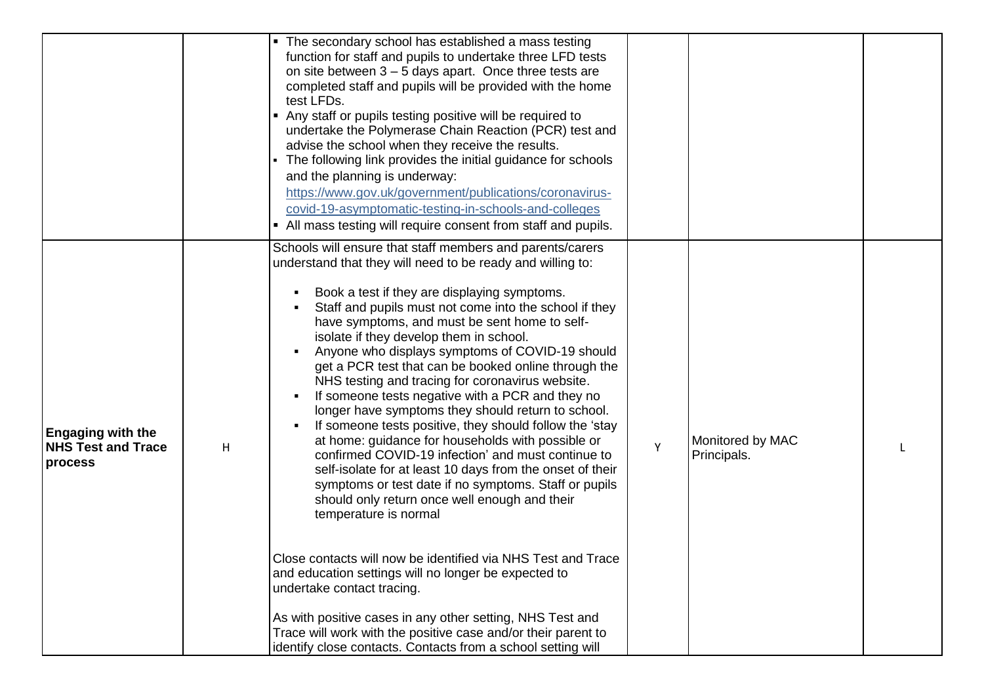|                                                                  |   | • The secondary school has established a mass testing<br>function for staff and pupils to undertake three LFD tests<br>on site between $3 - 5$ days apart. Once three tests are<br>completed staff and pupils will be provided with the home<br>test LFDs.<br>• Any staff or pupils testing positive will be required to<br>undertake the Polymerase Chain Reaction (PCR) test and<br>advise the school when they receive the results.<br>• The following link provides the initial guidance for schools<br>and the planning is underway:<br>https://www.gov.uk/government/publications/coronavirus-<br>covid-19-asymptomatic-testing-in-schools-and-colleges<br>• All mass testing will require consent from staff and pupils.                                                                                                                                                                                                                                              |   |                                 |  |
|------------------------------------------------------------------|---|------------------------------------------------------------------------------------------------------------------------------------------------------------------------------------------------------------------------------------------------------------------------------------------------------------------------------------------------------------------------------------------------------------------------------------------------------------------------------------------------------------------------------------------------------------------------------------------------------------------------------------------------------------------------------------------------------------------------------------------------------------------------------------------------------------------------------------------------------------------------------------------------------------------------------------------------------------------------------|---|---------------------------------|--|
| <b>Engaging with the</b><br><b>NHS Test and Trace</b><br>process | H | Schools will ensure that staff members and parents/carers<br>understand that they will need to be ready and willing to:<br>Book a test if they are displaying symptoms.<br>Staff and pupils must not come into the school if they<br>have symptoms, and must be sent home to self-<br>isolate if they develop them in school.<br>Anyone who displays symptoms of COVID-19 should<br>get a PCR test that can be booked online through the<br>NHS testing and tracing for coronavirus website.<br>If someone tests negative with a PCR and they no<br>longer have symptoms they should return to school.<br>If someone tests positive, they should follow the 'stay<br>at home: guidance for households with possible or<br>confirmed COVID-19 infection' and must continue to<br>self-isolate for at least 10 days from the onset of their<br>symptoms or test date if no symptoms. Staff or pupils<br>should only return once well enough and their<br>temperature is normal | Y | Monitored by MAC<br>Principals. |  |
|                                                                  |   | Close contacts will now be identified via NHS Test and Trace<br>and education settings will no longer be expected to<br>undertake contact tracing.<br>As with positive cases in any other setting, NHS Test and<br>Trace will work with the positive case and/or their parent to<br>identify close contacts. Contacts from a school setting will                                                                                                                                                                                                                                                                                                                                                                                                                                                                                                                                                                                                                             |   |                                 |  |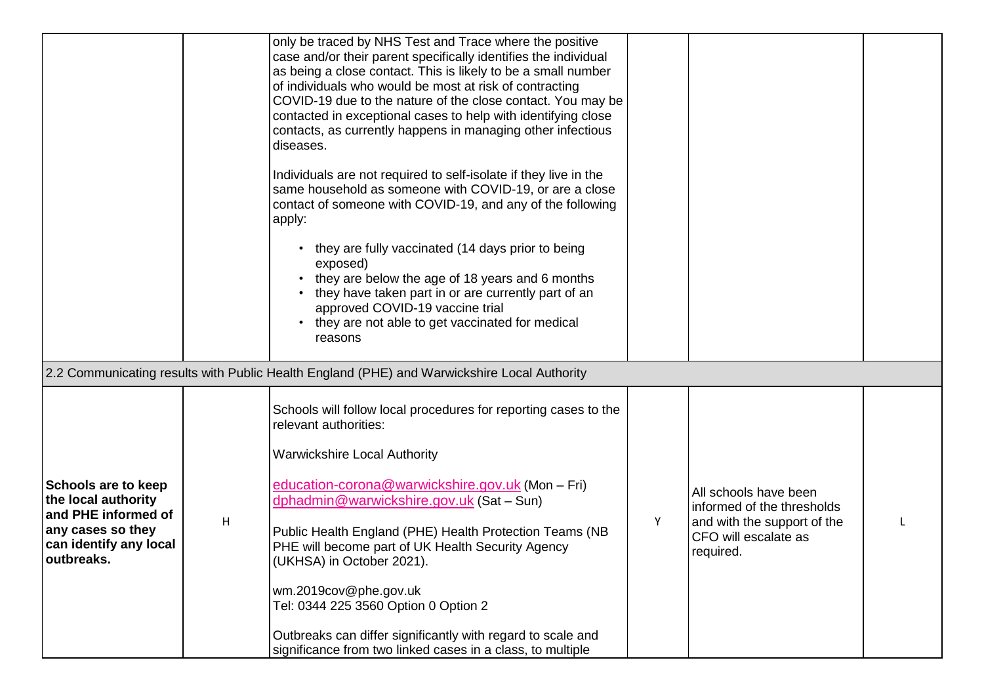|                                                                                                                                |   | only be traced by NHS Test and Trace where the positive<br>case and/or their parent specifically identifies the individual<br>as being a close contact. This is likely to be a small number<br>of individuals who would be most at risk of contracting<br>COVID-19 due to the nature of the close contact. You may be<br>contacted in exceptional cases to help with identifying close<br>contacts, as currently happens in managing other infectious<br>diseases.<br>Individuals are not required to self-isolate if they live in the<br>same household as someone with COVID-19, or are a close<br>contact of someone with COVID-19, and any of the following<br>apply:<br>they are fully vaccinated (14 days prior to being<br>exposed)<br>they are below the age of 18 years and 6 months<br>they have taken part in or are currently part of an<br>approved COVID-19 vaccine trial<br>they are not able to get vaccinated for medical<br>reasons |   |                                                                                                                         |  |
|--------------------------------------------------------------------------------------------------------------------------------|---|-------------------------------------------------------------------------------------------------------------------------------------------------------------------------------------------------------------------------------------------------------------------------------------------------------------------------------------------------------------------------------------------------------------------------------------------------------------------------------------------------------------------------------------------------------------------------------------------------------------------------------------------------------------------------------------------------------------------------------------------------------------------------------------------------------------------------------------------------------------------------------------------------------------------------------------------------------|---|-------------------------------------------------------------------------------------------------------------------------|--|
|                                                                                                                                |   | 2.2 Communicating results with Public Health England (PHE) and Warwickshire Local Authority                                                                                                                                                                                                                                                                                                                                                                                                                                                                                                                                                                                                                                                                                                                                                                                                                                                           |   |                                                                                                                         |  |
| Schools are to keep<br>the local authority<br>and PHE informed of<br>any cases so they<br>can identify any local<br>outbreaks. | H | Schools will follow local procedures for reporting cases to the<br>relevant authorities:<br><b>Warwickshire Local Authority</b><br>education-corona@warwickshire.gov.uk (Mon - Fri)<br>dphadmin@warwickshire.gov.uk (Sat - Sun)<br>Public Health England (PHE) Health Protection Teams (NB<br>PHE will become part of UK Health Security Agency<br>(UKHSA) in October 2021).<br>wm.2019cov@phe.gov.uk<br>Tel: 0344 225 3560 Option 0 Option 2<br>Outbreaks can differ significantly with regard to scale and<br>significance from two linked cases in a class, to multiple                                                                                                                                                                                                                                                                                                                                                                            | Y | All schools have been<br>informed of the thresholds<br>and with the support of the<br>CFO will escalate as<br>required. |  |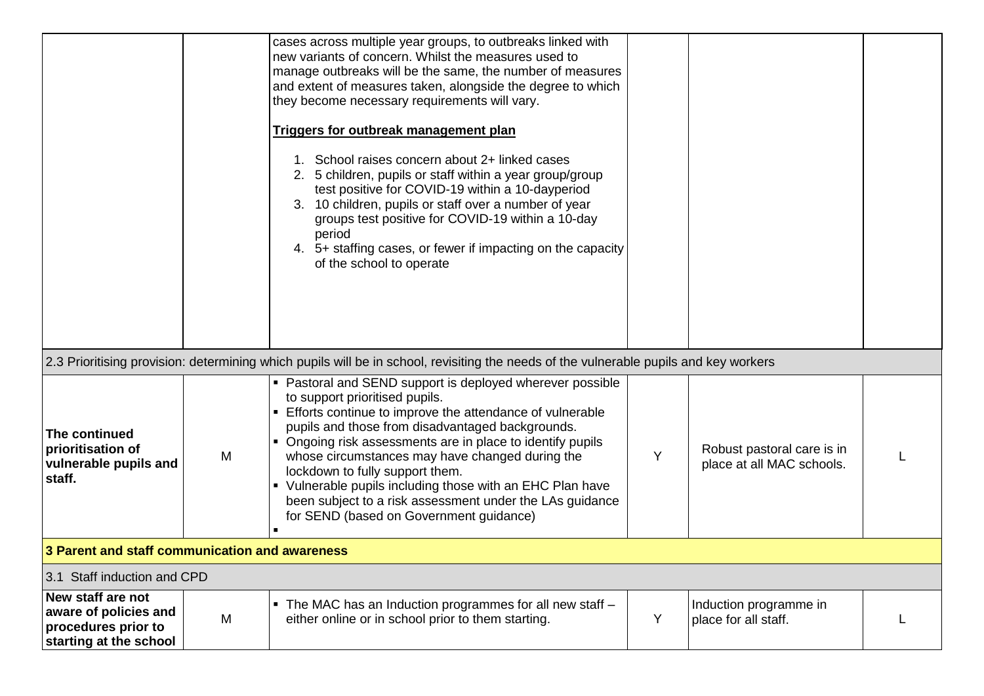|                                                                                             |                                                | cases across multiple year groups, to outbreaks linked with<br>new variants of concern. Whilst the measures used to<br>manage outbreaks will be the same, the number of measures<br>and extent of measures taken, alongside the degree to which<br>they become necessary requirements will vary.<br>Triggers for outbreak management plan<br>1. School raises concern about 2+ linked cases<br>2. 5 children, pupils or staff within a year group/group<br>test positive for COVID-19 within a 10-dayperiod<br>3. 10 children, pupils or staff over a number of year<br>groups test positive for COVID-19 within a 10-day<br>period<br>4. 5+ staffing cases, or fewer if impacting on the capacity<br>of the school to operate |   |                                                         |  |  |  |
|---------------------------------------------------------------------------------------------|------------------------------------------------|--------------------------------------------------------------------------------------------------------------------------------------------------------------------------------------------------------------------------------------------------------------------------------------------------------------------------------------------------------------------------------------------------------------------------------------------------------------------------------------------------------------------------------------------------------------------------------------------------------------------------------------------------------------------------------------------------------------------------------|---|---------------------------------------------------------|--|--|--|
|                                                                                             |                                                | 2.3 Prioritising provision: determining which pupils will be in school, revisiting the needs of the vulnerable pupils and key workers                                                                                                                                                                                                                                                                                                                                                                                                                                                                                                                                                                                          |   |                                                         |  |  |  |
| The continued<br>prioritisation of<br>vulnerable pupils and<br>staff.                       | M                                              | • Pastoral and SEND support is deployed wherever possible<br>to support prioritised pupils.<br>Efforts continue to improve the attendance of vulnerable<br>pupils and those from disadvantaged backgrounds.<br>• Ongoing risk assessments are in place to identify pupils<br>whose circumstances may have changed during the<br>lockdown to fully support them.<br>• Vulnerable pupils including those with an EHC Plan have<br>been subject to a risk assessment under the LAs guidance<br>for SEND (based on Government guidance)                                                                                                                                                                                            | Y | Robust pastoral care is in<br>place at all MAC schools. |  |  |  |
|                                                                                             | 3 Parent and staff communication and awareness |                                                                                                                                                                                                                                                                                                                                                                                                                                                                                                                                                                                                                                                                                                                                |   |                                                         |  |  |  |
| 3.1 Staff induction and CPD                                                                 |                                                |                                                                                                                                                                                                                                                                                                                                                                                                                                                                                                                                                                                                                                                                                                                                |   |                                                         |  |  |  |
| New staff are not<br>aware of policies and<br>procedures prior to<br>starting at the school | M                                              | • The MAC has an Induction programmes for all new staff -<br>either online or in school prior to them starting.                                                                                                                                                                                                                                                                                                                                                                                                                                                                                                                                                                                                                | Y | Induction programme in<br>place for all staff.          |  |  |  |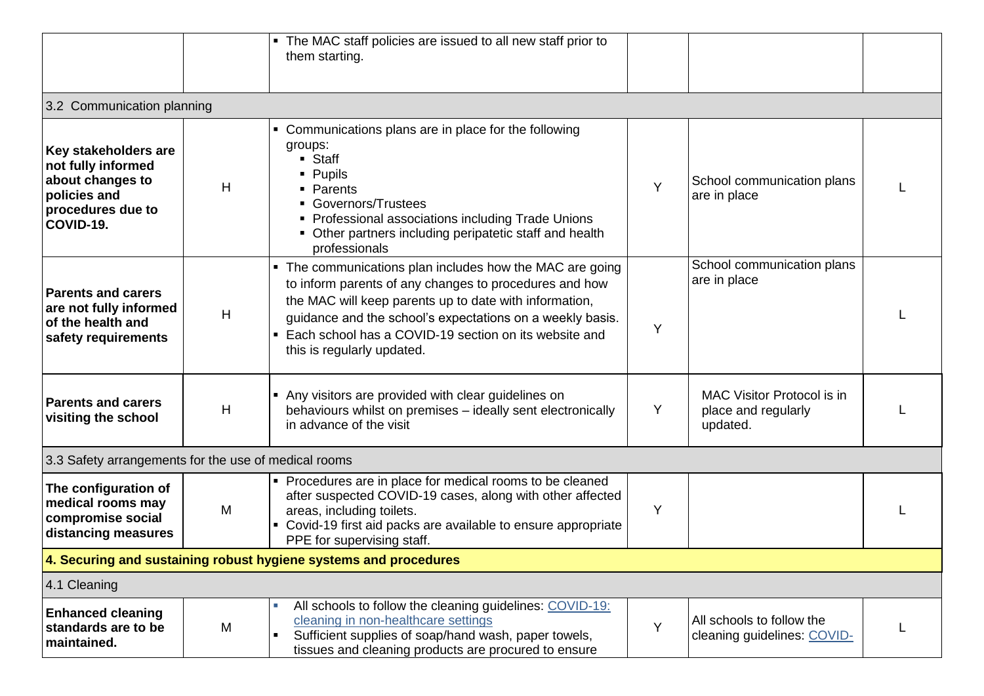|                                                                                                                  |   | The MAC staff policies are issued to all new staff prior to<br>$\blacksquare$<br>them starting.                                                                                                                                                                                                                                                  |   |                                                               |   |
|------------------------------------------------------------------------------------------------------------------|---|--------------------------------------------------------------------------------------------------------------------------------------------------------------------------------------------------------------------------------------------------------------------------------------------------------------------------------------------------|---|---------------------------------------------------------------|---|
| 3.2 Communication planning                                                                                       |   |                                                                                                                                                                                                                                                                                                                                                  |   |                                                               |   |
| Key stakeholders are<br>not fully informed<br>about changes to<br>policies and<br>procedures due to<br>COVID-19. | H | Communications plans are in place for the following<br>groups:<br>• Staff<br>• Pupils<br>• Parents<br>• Governors/Trustees<br>• Professional associations including Trade Unions<br>• Other partners including peripatetic staff and health<br>professionals                                                                                     | Y | School communication plans<br>are in place                    |   |
| <b>Parents and carers</b><br>are not fully informed<br>of the health and<br>safety requirements                  | H | The communications plan includes how the MAC are going<br>$\blacksquare$<br>to inform parents of any changes to procedures and how<br>the MAC will keep parents up to date with information,<br>guidance and the school's expectations on a weekly basis.<br>Each school has a COVID-19 section on its website and<br>this is regularly updated. | Y | School communication plans<br>are in place                    |   |
| <b>Parents and carers</b><br>visiting the school                                                                 | H | • Any visitors are provided with clear guidelines on<br>behaviours whilst on premises - ideally sent electronically<br>in advance of the visit                                                                                                                                                                                                   | Y | MAC Visitor Protocol is in<br>place and regularly<br>updated. |   |
| 3.3 Safety arrangements for the use of medical rooms                                                             |   |                                                                                                                                                                                                                                                                                                                                                  |   |                                                               |   |
| The configuration of<br>medical rooms may<br>compromise social<br>distancing measures                            | M | • Procedures are in place for medical rooms to be cleaned<br>after suspected COVID-19 cases, along with other affected<br>areas, including toilets.<br>• Covid-19 first aid packs are available to ensure appropriate<br>PPE for supervising staff.                                                                                              | Y |                                                               |   |
|                                                                                                                  |   | 4. Securing and sustaining robust hygiene systems and procedures                                                                                                                                                                                                                                                                                 |   |                                                               |   |
| 4.1 Cleaning                                                                                                     |   |                                                                                                                                                                                                                                                                                                                                                  |   |                                                               |   |
| <b>Enhanced cleaning</b><br>standards are to be<br>maintained.                                                   | M | All schools to follow the cleaning guidelines: COVID-19:<br>cleaning in non-healthcare settings<br>Sufficient supplies of soap/hand wash, paper towels,<br>tissues and cleaning products are procured to ensure                                                                                                                                  | Y | All schools to follow the<br>cleaning guidelines: COVID-      | L |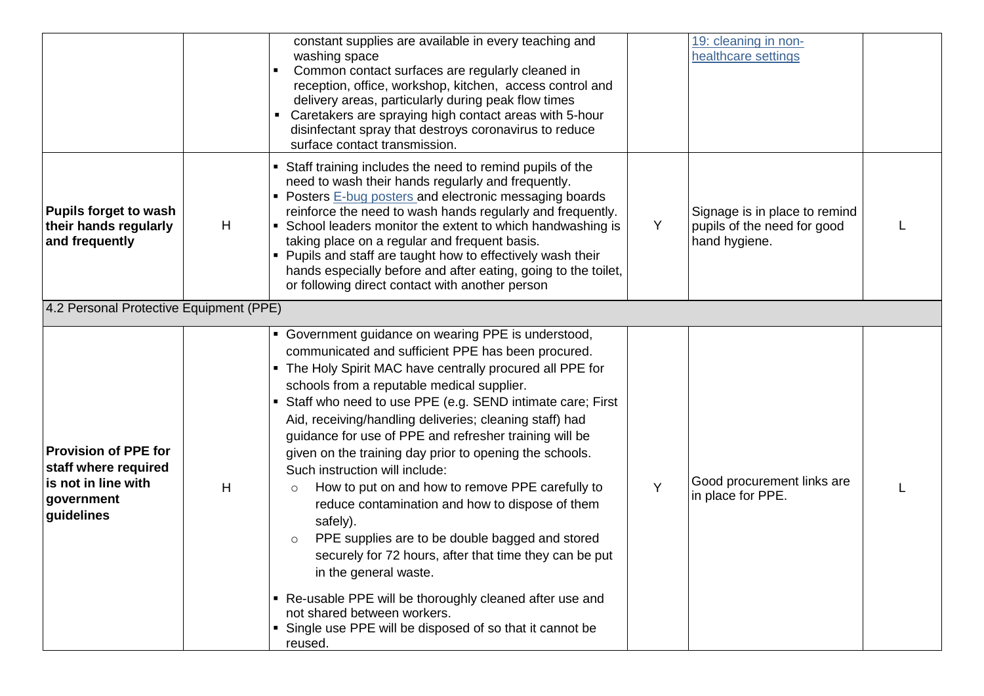|                                                                                                        |   | constant supplies are available in every teaching and<br>washing space<br>Common contact surfaces are regularly cleaned in<br>reception, office, workshop, kitchen, access control and<br>delivery areas, particularly during peak flow times<br>Caretakers are spraying high contact areas with 5-hour<br>disinfectant spray that destroys coronavirus to reduce<br>surface contact transmission.                                                                                                                                                                                                                                                                                                                                                                                                                                                                                                                                           |   | 19: cleaning in non-<br>healthcare settings                                   |  |
|--------------------------------------------------------------------------------------------------------|---|----------------------------------------------------------------------------------------------------------------------------------------------------------------------------------------------------------------------------------------------------------------------------------------------------------------------------------------------------------------------------------------------------------------------------------------------------------------------------------------------------------------------------------------------------------------------------------------------------------------------------------------------------------------------------------------------------------------------------------------------------------------------------------------------------------------------------------------------------------------------------------------------------------------------------------------------|---|-------------------------------------------------------------------------------|--|
| <b>Pupils forget to wash</b><br>their hands regularly<br>and frequently                                | H | • Staff training includes the need to remind pupils of the<br>need to wash their hands regularly and frequently.<br>• Posters E-bug posters and electronic messaging boards<br>reinforce the need to wash hands regularly and frequently.<br>• School leaders monitor the extent to which handwashing is<br>taking place on a regular and frequent basis.<br>Pupils and staff are taught how to effectively wash their<br>hands especially before and after eating, going to the toilet,<br>or following direct contact with another person                                                                                                                                                                                                                                                                                                                                                                                                  | Y | Signage is in place to remind<br>pupils of the need for good<br>hand hygiene. |  |
| 4.2 Personal Protective Equipment (PPE)                                                                |   |                                                                                                                                                                                                                                                                                                                                                                                                                                                                                                                                                                                                                                                                                                                                                                                                                                                                                                                                              |   |                                                                               |  |
| <b>Provision of PPE for</b><br>staff where required<br>is not in line with<br>government<br>guidelines | H | • Government guidance on wearing PPE is understood,<br>communicated and sufficient PPE has been procured.<br>• The Holy Spirit MAC have centrally procured all PPE for<br>schools from a reputable medical supplier.<br>• Staff who need to use PPE (e.g. SEND intimate care; First<br>Aid, receiving/handling deliveries; cleaning staff) had<br>guidance for use of PPE and refresher training will be<br>given on the training day prior to opening the schools.<br>Such instruction will include:<br>How to put on and how to remove PPE carefully to<br>$\circ$<br>reduce contamination and how to dispose of them<br>safely).<br>PPE supplies are to be double bagged and stored<br>securely for 72 hours, after that time they can be put<br>in the general waste.<br>• Re-usable PPE will be thoroughly cleaned after use and<br>not shared between workers.<br>• Single use PPE will be disposed of so that it cannot be<br>reused. | Y | Good procurement links are<br>in place for PPE.                               |  |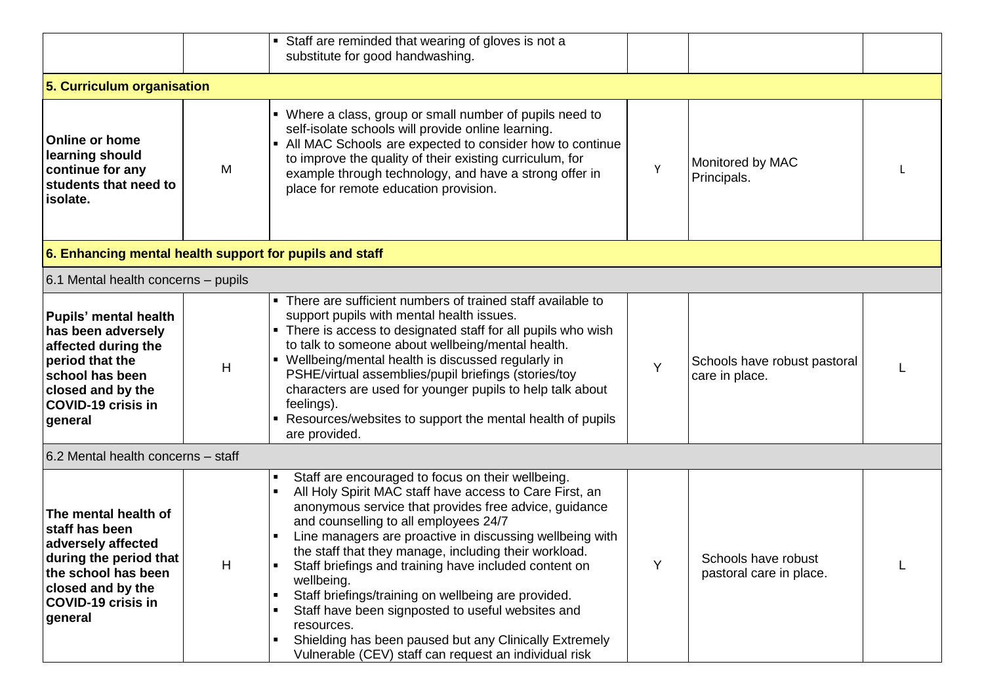|                                                                                                                                                                              |   | • Staff are reminded that wearing of gloves is not a<br>substitute for good handwashing.                                                                                                                                                                                                                                                                                                                                                                                                                                                                                                                                                                                                                                        |   |                                                |  |
|------------------------------------------------------------------------------------------------------------------------------------------------------------------------------|---|---------------------------------------------------------------------------------------------------------------------------------------------------------------------------------------------------------------------------------------------------------------------------------------------------------------------------------------------------------------------------------------------------------------------------------------------------------------------------------------------------------------------------------------------------------------------------------------------------------------------------------------------------------------------------------------------------------------------------------|---|------------------------------------------------|--|
| 5. Curriculum organisation                                                                                                                                                   |   |                                                                                                                                                                                                                                                                                                                                                                                                                                                                                                                                                                                                                                                                                                                                 |   |                                                |  |
| <b>Online or home</b><br>learning should<br>continue for any<br>students that need to<br>isolate.                                                                            | M | • Where a class, group or small number of pupils need to<br>self-isolate schools will provide online learning.<br>• All MAC Schools are expected to consider how to continue<br>to improve the quality of their existing curriculum, for<br>example through technology, and have a strong offer in<br>place for remote education provision.                                                                                                                                                                                                                                                                                                                                                                                     | Y | Monitored by MAC<br>Principals.                |  |
| 6. Enhancing mental health support for pupils and staff                                                                                                                      |   |                                                                                                                                                                                                                                                                                                                                                                                                                                                                                                                                                                                                                                                                                                                                 |   |                                                |  |
| 6.1 Mental health concerns - pupils                                                                                                                                          |   |                                                                                                                                                                                                                                                                                                                                                                                                                                                                                                                                                                                                                                                                                                                                 |   |                                                |  |
| <b>Pupils' mental health</b><br>has been adversely<br>affected during the<br>period that the<br>school has been<br>closed and by the<br><b>COVID-19 crisis in</b><br>general | H | • There are sufficient numbers of trained staff available to<br>support pupils with mental health issues.<br>• There is access to designated staff for all pupils who wish<br>to talk to someone about wellbeing/mental health.<br>• Wellbeing/mental health is discussed regularly in<br>PSHE/virtual assemblies/pupil briefings (stories/toy<br>characters are used for younger pupils to help talk about<br>feelings).<br>• Resources/websites to support the mental health of pupils<br>are provided.                                                                                                                                                                                                                       | Y | Schools have robust pastoral<br>care in place. |  |
| 6.2 Mental health concerns - staff                                                                                                                                           |   |                                                                                                                                                                                                                                                                                                                                                                                                                                                                                                                                                                                                                                                                                                                                 |   |                                                |  |
| The mental health of<br>staff has been<br>adversely affected<br>during the period that<br>the school has been<br>closed and by the<br><b>COVID-19 crisis in</b><br>general   | H | Staff are encouraged to focus on their wellbeing.<br>$\blacksquare$<br>All Holy Spirit MAC staff have access to Care First, an<br>$\blacksquare$<br>anonymous service that provides free advice, guidance<br>and counselling to all employees 24/7<br>Line managers are proactive in discussing wellbeing with<br>the staff that they manage, including their workload.<br>Staff briefings and training have included content on<br>wellbeing.<br>Staff briefings/training on wellbeing are provided.<br>$\blacksquare$<br>Staff have been signposted to useful websites and<br>resources.<br>Shielding has been paused but any Clinically Extremely<br>$\blacksquare$<br>Vulnerable (CEV) staff can request an individual risk | Y | Schools have robust<br>pastoral care in place. |  |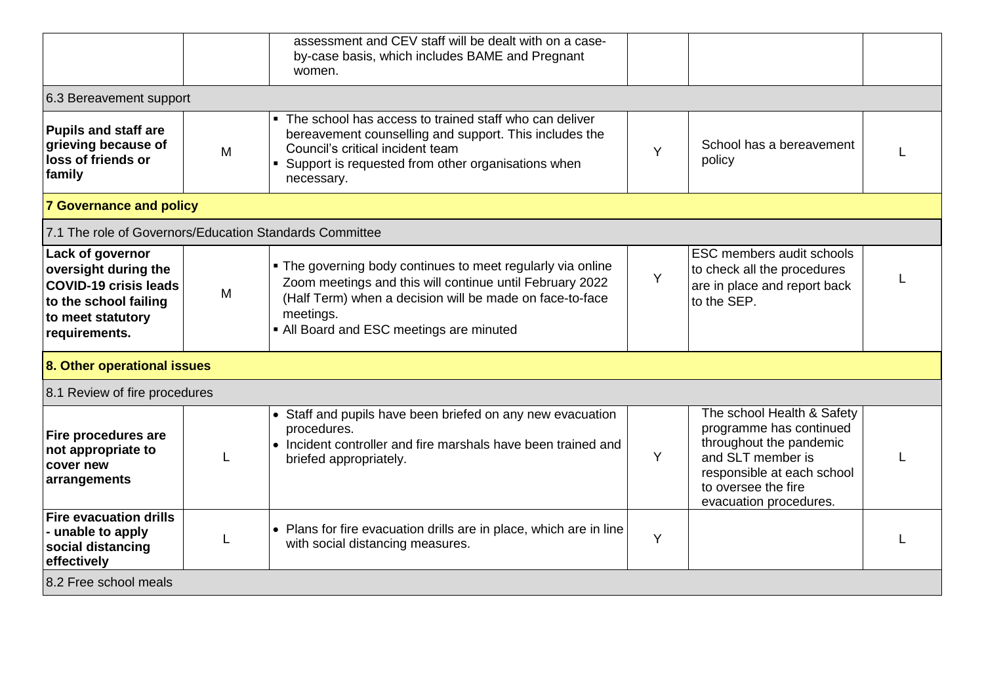|                                                                                                                                         |   | assessment and CEV staff will be dealt with on a case-<br>by-case basis, which includes BAME and Pregnant<br>women.                                                                                                                          |   |                                                                                                                                                                                      |  |
|-----------------------------------------------------------------------------------------------------------------------------------------|---|----------------------------------------------------------------------------------------------------------------------------------------------------------------------------------------------------------------------------------------------|---|--------------------------------------------------------------------------------------------------------------------------------------------------------------------------------------|--|
| 6.3 Bereavement support                                                                                                                 |   |                                                                                                                                                                                                                                              |   |                                                                                                                                                                                      |  |
| <b>Pupils and staff are</b><br>grieving because of<br>loss of friends or<br>family                                                      | M | The school has access to trained staff who can deliver<br>bereavement counselling and support. This includes the<br>Council's critical incident team<br>• Support is requested from other organisations when<br>necessary.                   | Y | School has a bereavement<br>policy                                                                                                                                                   |  |
| <b>7 Governance and policy</b>                                                                                                          |   |                                                                                                                                                                                                                                              |   |                                                                                                                                                                                      |  |
| 7.1 The role of Governors/Education Standards Committee                                                                                 |   |                                                                                                                                                                                                                                              |   |                                                                                                                                                                                      |  |
| Lack of governor<br>oversight during the<br><b>COVID-19 crisis leads</b><br>to the school failing<br>to meet statutory<br>requirements. | M | . The governing body continues to meet regularly via online<br>Zoom meetings and this will continue until February 2022<br>(Half Term) when a decision will be made on face-to-face<br>meetings.<br>• All Board and ESC meetings are minuted | Y | <b>ESC members audit schools</b><br>to check all the procedures<br>are in place and report back<br>to the SEP.                                                                       |  |
| 8. Other operational issues                                                                                                             |   |                                                                                                                                                                                                                                              |   |                                                                                                                                                                                      |  |
| 8.1 Review of fire procedures                                                                                                           |   |                                                                                                                                                                                                                                              |   |                                                                                                                                                                                      |  |
| Fire procedures are<br>not appropriate to<br>cover new<br>arrangements                                                                  |   | • Staff and pupils have been briefed on any new evacuation<br>procedures.<br>• Incident controller and fire marshals have been trained and<br>briefed appropriately.                                                                         | Y | The school Health & Safety<br>programme has continued<br>throughout the pandemic<br>and SLT member is<br>responsible at each school<br>to oversee the fire<br>evacuation procedures. |  |
| <b>Fire evacuation drills</b><br>- unable to apply<br>social distancing<br>effectively                                                  |   | • Plans for fire evacuation drills are in place, which are in line<br>with social distancing measures.                                                                                                                                       | Y |                                                                                                                                                                                      |  |
| 8.2 Free school meals                                                                                                                   |   |                                                                                                                                                                                                                                              |   |                                                                                                                                                                                      |  |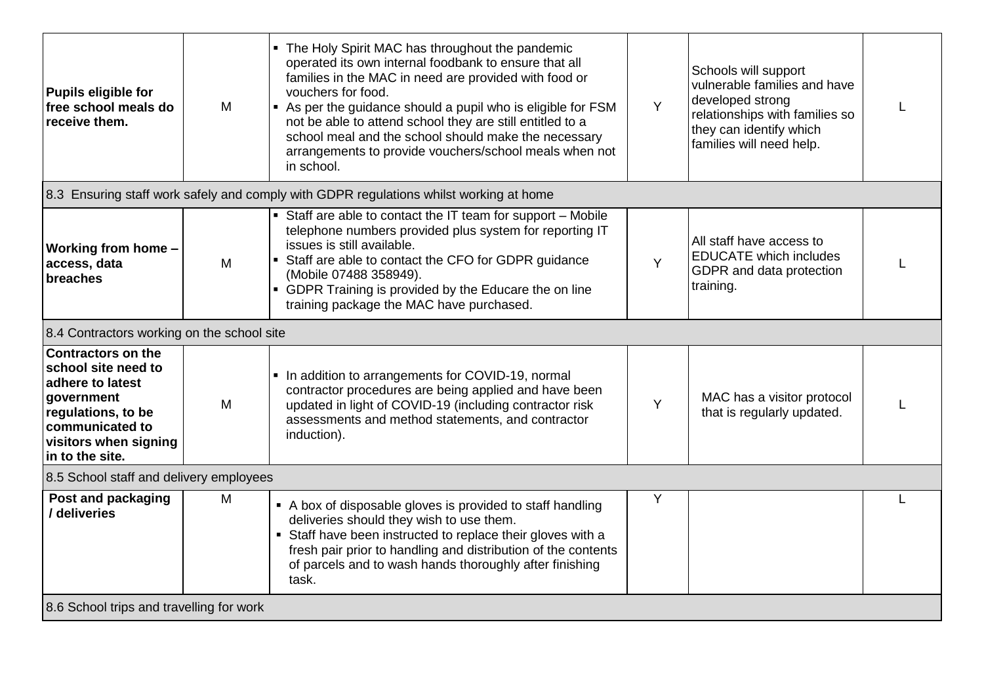| Pupils eligible for<br>free school meals do<br>receive them.                                                                                                            | M | • The Holy Spirit MAC has throughout the pandemic<br>operated its own internal foodbank to ensure that all<br>families in the MAC in need are provided with food or<br>vouchers for food.<br>As per the guidance should a pupil who is eligible for FSM<br>not be able to attend school they are still entitled to a<br>school meal and the school should make the necessary<br>arrangements to provide vouchers/school meals when not<br>in school. | Y | Schools will support<br>vulnerable families and have<br>developed strong<br>relationships with families so<br>they can identify which<br>families will need help. |  |
|-------------------------------------------------------------------------------------------------------------------------------------------------------------------------|---|------------------------------------------------------------------------------------------------------------------------------------------------------------------------------------------------------------------------------------------------------------------------------------------------------------------------------------------------------------------------------------------------------------------------------------------------------|---|-------------------------------------------------------------------------------------------------------------------------------------------------------------------|--|
|                                                                                                                                                                         |   | 8.3 Ensuring staff work safely and comply with GDPR regulations whilst working at home                                                                                                                                                                                                                                                                                                                                                               |   |                                                                                                                                                                   |  |
| Working from home -<br>access, data<br>breaches                                                                                                                         | M | • Staff are able to contact the IT team for support - Mobile<br>telephone numbers provided plus system for reporting IT<br>issues is still available.<br>• Staff are able to contact the CFO for GDPR guidance<br>(Mobile 07488 358949).<br>• GDPR Training is provided by the Educare the on line<br>training package the MAC have purchased.                                                                                                       | Y | All staff have access to<br><b>EDUCATE</b> which includes<br>GDPR and data protection<br>training.                                                                |  |
| 8.4 Contractors working on the school site                                                                                                                              |   |                                                                                                                                                                                                                                                                                                                                                                                                                                                      |   |                                                                                                                                                                   |  |
| <b>Contractors on the</b><br>school site need to<br>adhere to latest<br>government<br>regulations, to be<br>communicated to<br>visitors when signing<br>in to the site. | M | • In addition to arrangements for COVID-19, normal<br>contractor procedures are being applied and have been<br>updated in light of COVID-19 (including contractor risk<br>assessments and method statements, and contractor<br>induction).                                                                                                                                                                                                           | Y | MAC has a visitor protocol<br>that is regularly updated.                                                                                                          |  |
| 8.5 School staff and delivery employees                                                                                                                                 |   |                                                                                                                                                                                                                                                                                                                                                                                                                                                      |   |                                                                                                                                                                   |  |
| Post and packaging<br>/ deliveries                                                                                                                                      | M | • A box of disposable gloves is provided to staff handling<br>deliveries should they wish to use them.<br>• Staff have been instructed to replace their gloves with a<br>fresh pair prior to handling and distribution of the contents<br>of parcels and to wash hands thoroughly after finishing<br>task.                                                                                                                                           | Y |                                                                                                                                                                   |  |
| 8.6 School trips and travelling for work                                                                                                                                |   |                                                                                                                                                                                                                                                                                                                                                                                                                                                      |   |                                                                                                                                                                   |  |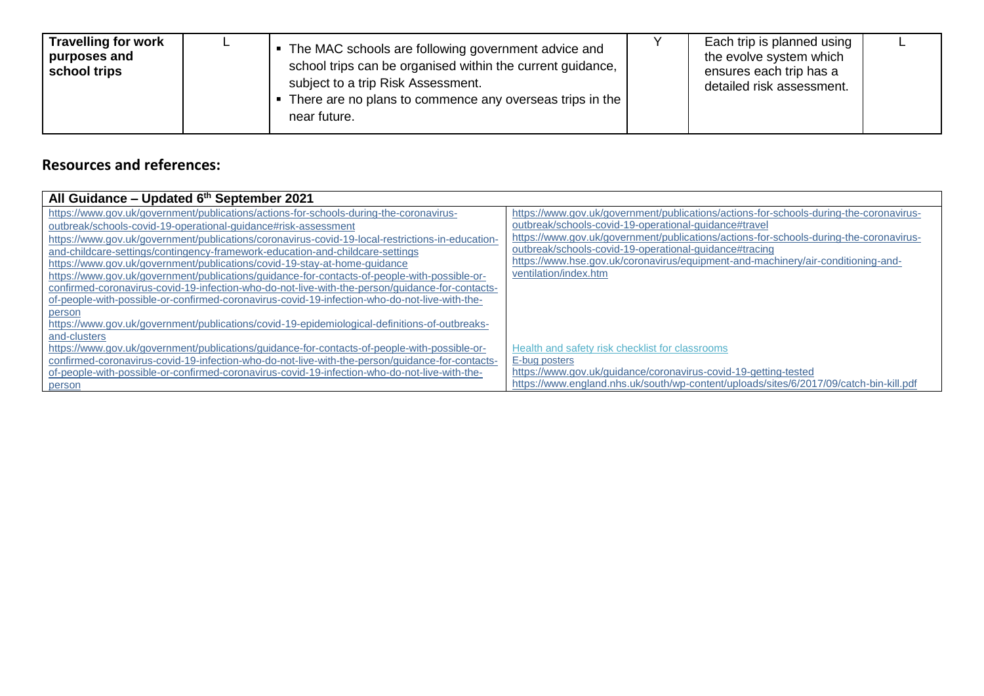| <b>Travelling for work</b><br>purposes and<br>school trips |  | The MAC schools are following government advice and<br>school trips can be organised within the current guidance,<br>subject to a trip Risk Assessment.<br>There are no plans to commence any overseas trips in the<br>near future. |  | Each trip is planned using<br>the evolve system which<br>ensures each trip has a<br>detailed risk assessment. |  |
|------------------------------------------------------------|--|-------------------------------------------------------------------------------------------------------------------------------------------------------------------------------------------------------------------------------------|--|---------------------------------------------------------------------------------------------------------------|--|
|------------------------------------------------------------|--|-------------------------------------------------------------------------------------------------------------------------------------------------------------------------------------------------------------------------------------|--|---------------------------------------------------------------------------------------------------------------|--|

## **Resources and references:**

| All Guidance - Updated 6th September 2021                                                        |                                                                                        |
|--------------------------------------------------------------------------------------------------|----------------------------------------------------------------------------------------|
| https://www.gov.uk/government/publications/actions-for-schools-during-the-coronavirus-           | https://www.gov.uk/government/publications/actions-for-schools-during-the-coronavirus- |
| outbreak/schools-covid-19-operational-guidance#risk-assessment                                   | outbreak/schools-covid-19-operational-guidance#travel                                  |
| https://www.gov.uk/government/publications/coronavirus-covid-19-local-restrictions-in-education- | https://www.gov.uk/government/publications/actions-for-schools-during-the-coronavirus- |
| and-childcare-settings/contingency-framework-education-and-childcare-settings                    | outbreak/schools-covid-19-operational-quidance#tracing                                 |
| https://www.gov.uk/government/publications/covid-19-stay-at-home-guidance                        | https://www.hse.gov.uk/coronavirus/equipment-and-machinery/air-conditioning-and-       |
| https://www.gov.uk/government/publications/guidance-for-contacts-of-people-with-possible-or-     | ventilation/index.htm                                                                  |
| confirmed-coronavirus-covid-19-infection-who-do-not-live-with-the-person/guidance-for-contacts-  |                                                                                        |
| of-people-with-possible-or-confirmed-coronavirus-covid-19-infection-who-do-not-live-with-the-    |                                                                                        |
| person                                                                                           |                                                                                        |
| https://www.gov.uk/government/publications/covid-19-epidemiological-definitions-of-outbreaks-    |                                                                                        |
| and-clusters                                                                                     |                                                                                        |
| https://www.gov.uk/government/publications/guidance-for-contacts-of-people-with-possible-or-     | Health and safety risk checklist for classrooms                                        |
| confirmed-coronavirus-covid-19-infection-who-do-not-live-with-the-person/guidance-for-contacts-  | E-bug posters                                                                          |
| of-people-with-possible-or-confirmed-coronavirus-covid-19-infection-who-do-not-live-with-the-    | https://www.gov.uk/guidance/coronavirus-covid-19-getting-tested                        |
| person                                                                                           | https://www.england.nhs.uk/south/wp-content/uploads/sites/6/2017/09/catch-bin-kill.pdf |